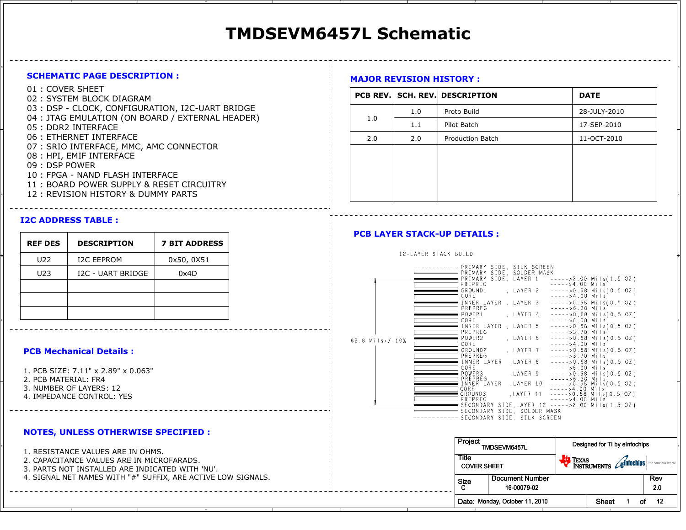# **TMDSEVM6457L Schematic**

on a construction of the construction of the construction of the construction of the construction of the construction of the construction of the construction of the construction of the construction of the construction of t

#### **SCHEMATIC PAGE DESCRIPTION :**

- 01 : COVER SHEET
- 02 : SYSTEM BLOCK DIAGRAM
- 03 : DSP CLOCK, CONFIGURATION, I2C-UART BRIDGE
- 04 : JTAG EMULATION (ON BOARD / EXTERNAL HEADER)
- 05 : DDR2 INTERFACE
- 06 : ETHERNET INTERFACE
- 07 : SRIO INTERFACE, MMC, AMC CONNECTOR
- 08 : HPI, EMIF INTERFACE
- 09 : DSP POWER
- 10 : FPGA NAND FLASH INTERFACE
- 11 : BOARD POWER SUPPLY & RESET CIRCUITRY
- 

#### **I2C ADDRESS TABLE :**

| <b>REF DES</b> | <b>DESCRIPTION</b> | <b>7 BIT ADDRESS</b> |
|----------------|--------------------|----------------------|
| U22            | <b>I2C EEPROM</b>  | 0x50, 0X51           |
| U23            | I2C - UART BRIDGE  | 0x4D                 |
|                |                    |                      |
|                |                    |                      |
|                |                    |                      |

#### **PCB Mechanical Details :**

1. PCB SIZE: 7.11" x 2.89" x 0.063"2. PCB MATERIAL: FR4 3. NUMBER OF LAYERS: 124. IMPEDANCE CONTROL: YES

#### **NOTES, UNLESS OTHERWISE SPECIFIED :**

- 2. CAPACITANCE VALUES ARE IN MICROFARADS.
- 3. PARTS NOT INSTALLED ARE INDICATED WITH 'NU'.
- 4. SIGNAL NET NAMES WITH "#" SUFFIX, ARE ACTIVE LOW SIGNALS.

### **MAJOR REVISION HISTORY :**

| 01 : COVER SHEET<br>02: SYSTEM BLOCK DIAGRAM                            |     |     | <b>PCB REV. SCH. REV. DESCRIPTION</b> | <b>DATE</b>  |
|-------------------------------------------------------------------------|-----|-----|---------------------------------------|--------------|
| 03 : DSP - CLOCK, CONFIGURATION, I2C-UART BRIDGE                        |     | 1.0 | Proto Build                           | 28-JULY-2010 |
| 04 : JTAG EMULATION (ON BOARD / EXTERNAL HEADER)<br>05 : DDR2 INTERFACE | 1.0 | 1.1 | Pilot Batch                           | 17-SEP-2010  |
| 06 : ETHERNET INTERFACE                                                 | 2.0 | 2.0 | Production Batch                      | 11-OCT-2010  |
| 07 : SRIO INTERFACE, MMC, AMC CONNECTOR                                 |     |     |                                       |              |
| 08 : HPI, EMIF INTERFACE                                                |     |     |                                       |              |
| 09 : DSP POWER                                                          |     |     |                                       |              |
| 10 : FPGA - NAND FLASH INTERFACE                                        |     |     |                                       |              |
| 11 : BOARD POWER SUPPLY & RESET CIRCUITRY                               |     |     |                                       |              |
| 12 : REVISION HISTORY & DUMMY PARTS                                     |     |     |                                       |              |

#### **PCB LAYER STACK-UP DETAILS :**

#### 12-LAYER STACK BUILD ------ PRIMARY SIDE, SILK SCREEN PRIMARY SIDE, SOLDER MASK PRIMARY SIDE, LAYER 1 ----->2.00 Mils(1.5 OZ) PREPREG  $----54.00$  Mils LAYER 2 ----->0.68 Mils(0.5 OZ)  $=$  GROUND1  $\sqcap$  core.  $---20.68$  Mils(0.5 OZ) INNER LAYER , LAYER 3  $- - - - > 6.30$  Mils **□ PREPREG** LAYER 4 POWER1  $---20.68$  Mils(0.5 OZ) <sup>B</sup>  $--->0.68$  Mils(0.5 OZ) **ΓPREPREG**  $---23.70$  Mils LAYER 6  $---20.68$  Mils(0.5 OZ)  $=$  POWER2 62.8  $M = 10\%$ □ CORE  $---24.00$  Mils GROUND2 LAYER<sub>7</sub>  $---20.68$  Mils(0.5 OZ) PREPREG  $---23.70$  Mils INNER LAYER , LAYER 8  $---20.68$  Mils(0.5 OZ)  $--->6.00$  Mils  $\sqcap$  core. = POWER3 , LAYER 9  $---20.68$  Mils(0.5 OZ) LAYER 11 ----->0.68 Mils(0.5 0Z)  $\exists$  CORE ■ GROUND3 □ PREPREG  $---24.00$  Mils  $=$  SECONDARY SIDE LAYER 12 ----->2.00 Mils(1.5 OZ) SECONDARY SIDE, SOLDER MASK -------- SECONDARY SIDE, SILK SCREEN

| 1. RESISTANCE VALUES ARE IN OHMS.<br>2. CAPACITANCE VALUES ARE IN MICROFARADS.<br>3. PARTS NOT INSTALLED ARE INDICATED WITH 'NU'. | Project                     | TMDSEVM6457L                   | Designed for TI by eInfochips                                  |       |             |
|-----------------------------------------------------------------------------------------------------------------------------------|-----------------------------|--------------------------------|----------------------------------------------------------------|-------|-------------|
|                                                                                                                                   | Title<br><b>COVER SHEET</b> |                                | <b>TEXAS</b><br>INSTRUMENTS Cellifochips   The Solutions issue |       |             |
| 4. SIGNAL NET NAMES WITH "#" SUFFIX, ARE ACTIVE LOW SIGNALS.                                                                      | Size                        | Document Number<br>16-00079-02 |                                                                |       | Rev<br>20   |
|                                                                                                                                   |                             | Date: Monday, October 11, 2010 |                                                                | Shee. | $-12$<br>οt |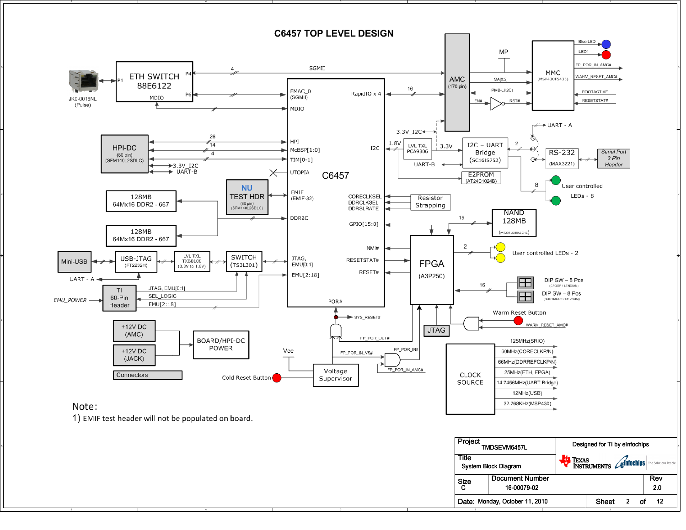

A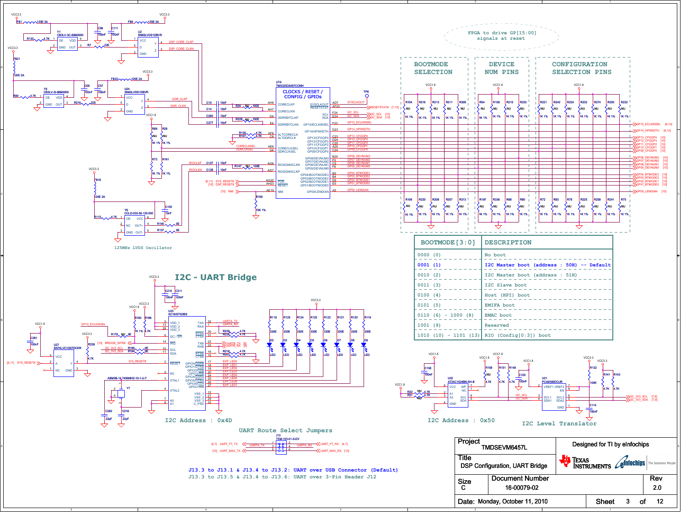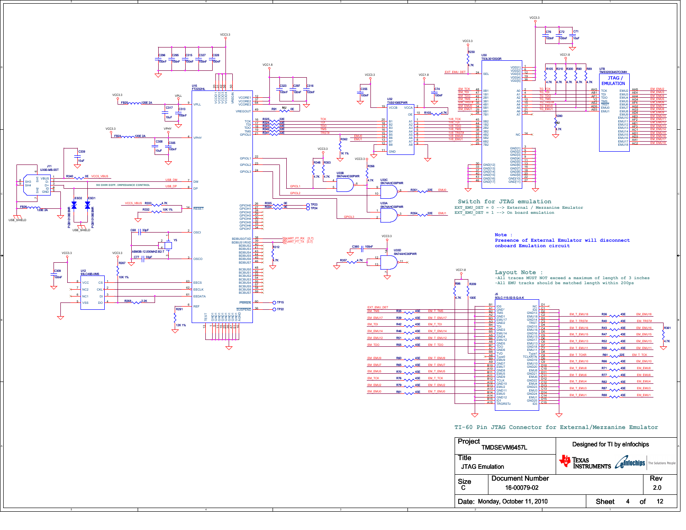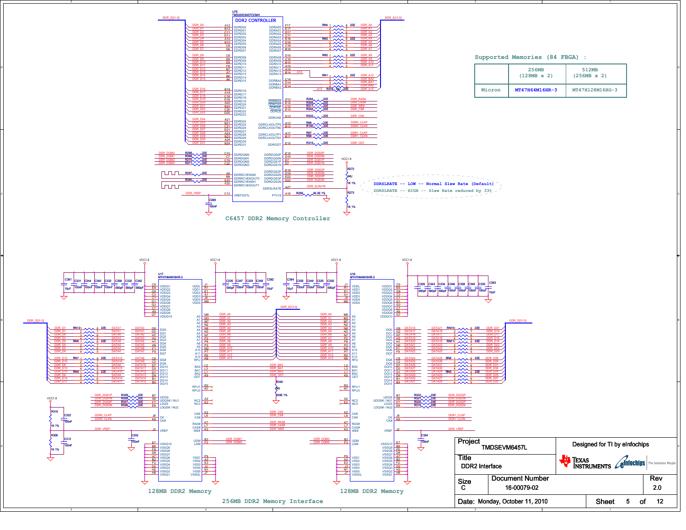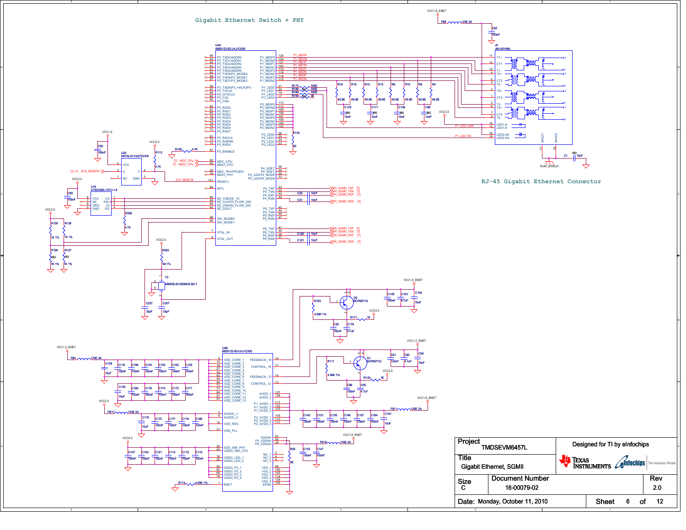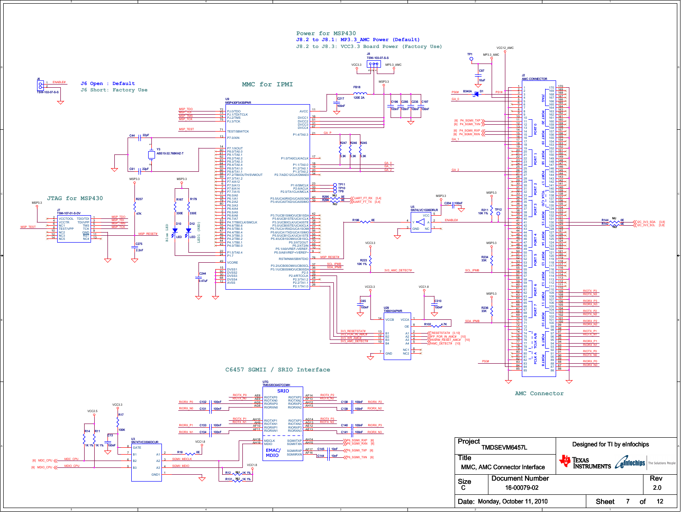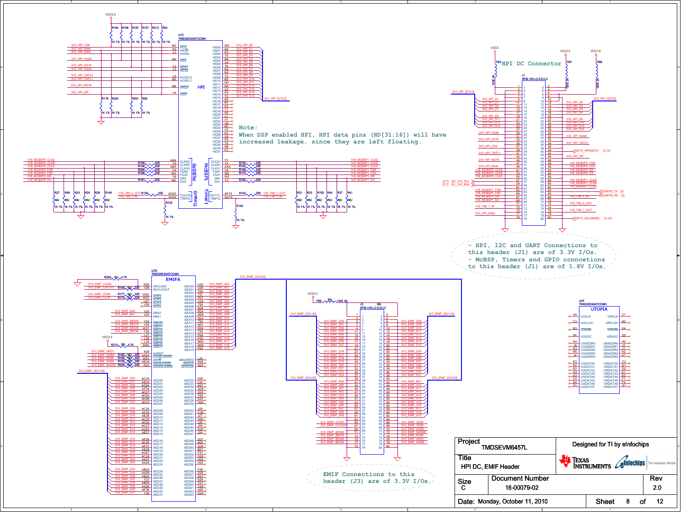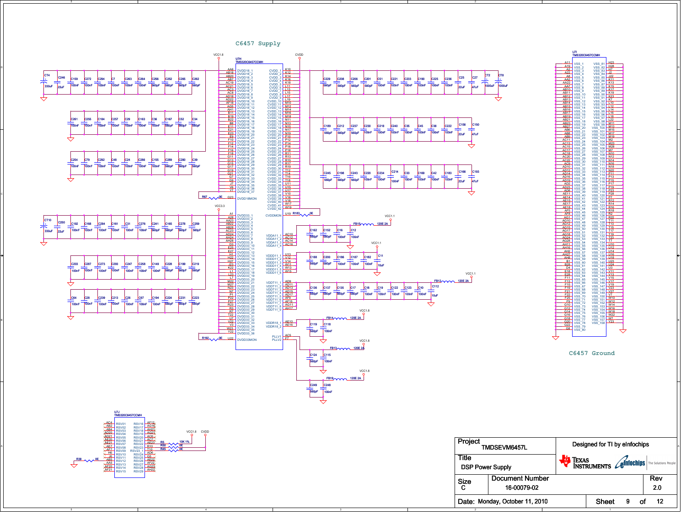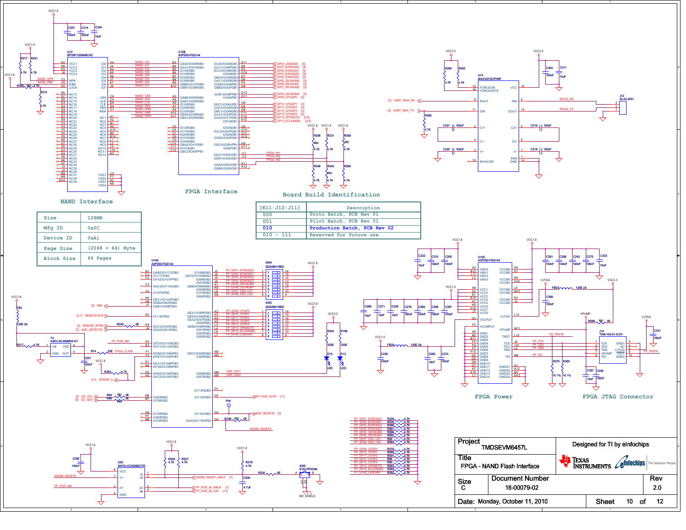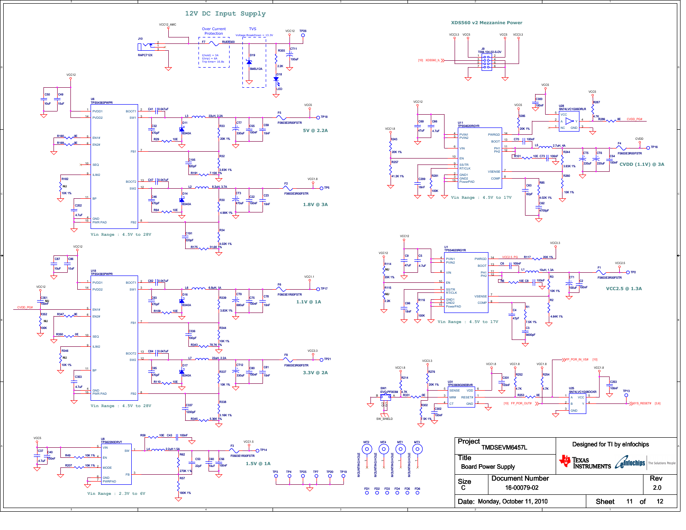